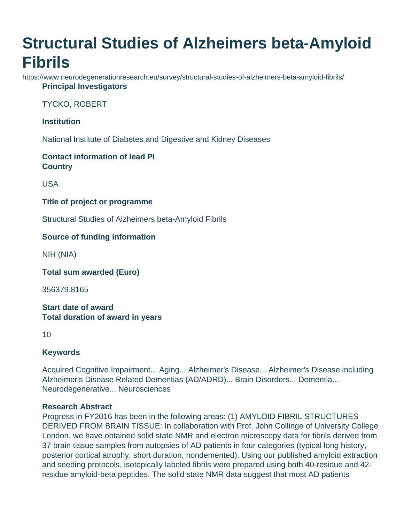# **Structural Studies of Alzheimers beta-Amyloid Fibrils**

https://www.neurodegenerationresearch.eu/survey/structural-studies-of-alzheimers-beta-amyloid-fibrils/ **Principal Investigators**

TYCKO, ROBERT

## **Institution**

National Institute of Diabetes and Digestive and Kidney Diseases

# **Contact information of lead PI Country**

USA

## **Title of project or programme**

Structural Studies of Alzheimers beta-Amyloid Fibrils

# **Source of funding information**

NIH (NIA)

**Total sum awarded (Euro)**

356379.8165

#### **Start date of award Total duration of award in years**

10

# **Keywords**

Acquired Cognitive Impairment... Aging... Alzheimer's Disease... Alzheimer's Disease including Alzheimer's Disease Related Dementias (AD/ADRD)... Brain Disorders... Dementia... Neurodegenerative... Neurosciences

#### **Research Abstract**

Progress in FY2016 has been in the following areas: (1) AMYLOID FIBRIL STRUCTURES DERIVED FROM BRAIN TISSUE: In collaboration with Prof. John Collinge of University College London, we have obtained solid state NMR and electron microscopy data for fibrils derived from 37 brain tissue samples from autopsies of AD patients in four categories (typical long history, posterior cortical atrophy, short duration, nondemented). Using our published amyloid extraction and seeding protocols, isotopically labeled fibrils were prepared using both 40-residue and 42 residue amyloid-beta peptides. The solid state NMR data suggest that most AD patients